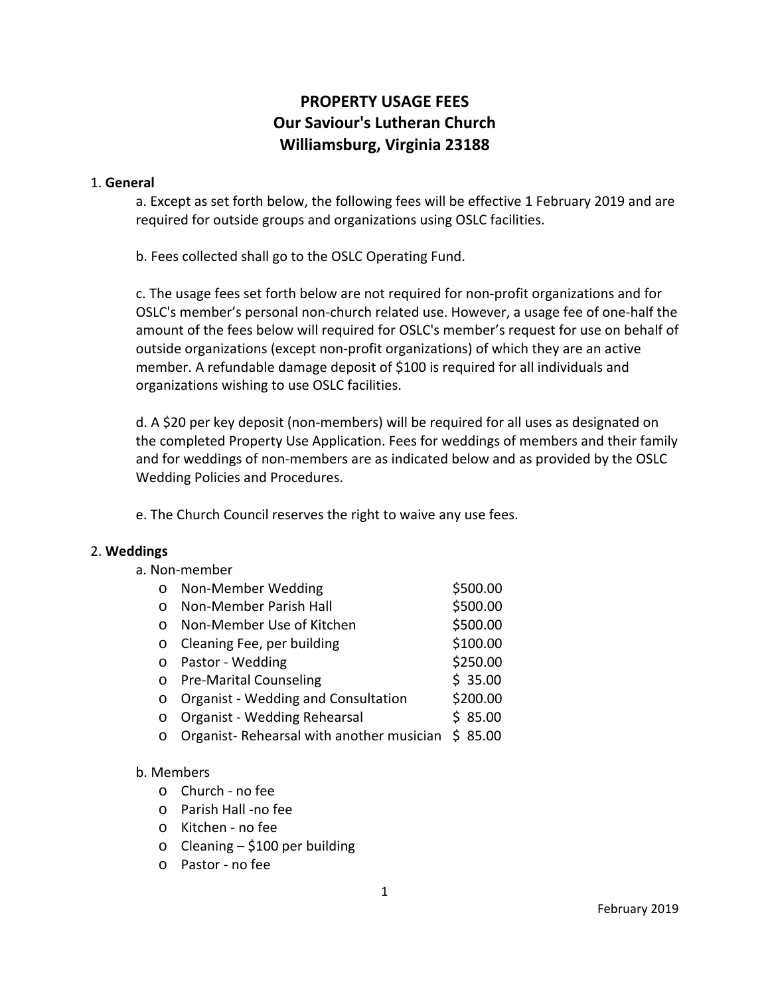# **PROPERTY USAGE FEES Our Saviour's Lutheran Church Williamsburg, Virginia 23188**

#### 1. **General**

a. Except as set forth below, the following fees will be effective 1 February 2019 and are required for outside groups and organizations using OSLC facilities.

b. Fees collected shall go to the OSLC Operating Fund.

c. The usage fees set forth below are not required for non‐profit organizations and for OSLC's member's personal non‐church related use. However, a usage fee of one‐half the amount of the fees below will required for OSLC's member's request for use on behalf of outside organizations (except non‐profit organizations) of which they are an active member. A refundable damage deposit of \$100 is required for all individuals and organizations wishing to use OSLC facilities.

d. A \$20 per key deposit (non‐members) will be required for all uses as designated on the completed Property Use Application. Fees for weddings of members and their family and for weddings of non‐members are as indicated below and as provided by the OSLC Wedding Policies and Procedures.

e. The Church Council reserves the right to waive any use fees.

# 2. **Weddings**

| a. Non-member |  |
|---------------|--|
|---------------|--|

| $\circ$  | Non-Member Wedding                         | \$500.00 |
|----------|--------------------------------------------|----------|
| $\Omega$ | Non-Member Parish Hall                     | \$500.00 |
| $\Omega$ | Non-Member Use of Kitchen                  | \$500.00 |
| $\circ$  | Cleaning Fee, per building                 | \$100.00 |
| $\circ$  | Pastor - Wedding                           | \$250.00 |
|          | o Pre-Marital Counseling                   | \$35.00  |
| $\circ$  | <b>Organist - Wedding and Consultation</b> | \$200.00 |
| $\circ$  | Organist - Wedding Rehearsal               | \$85.00  |
| $\circ$  | Organist-Rehearsal with another musician   | \$85.00  |
|          |                                            |          |

# b. Members

- o Church ‐ no fee
- o Parish Hall ‐no fee
- o Kitchen ‐ no fee
- $\circ$  Cleaning \$100 per building
- o Pastor ‐ no fee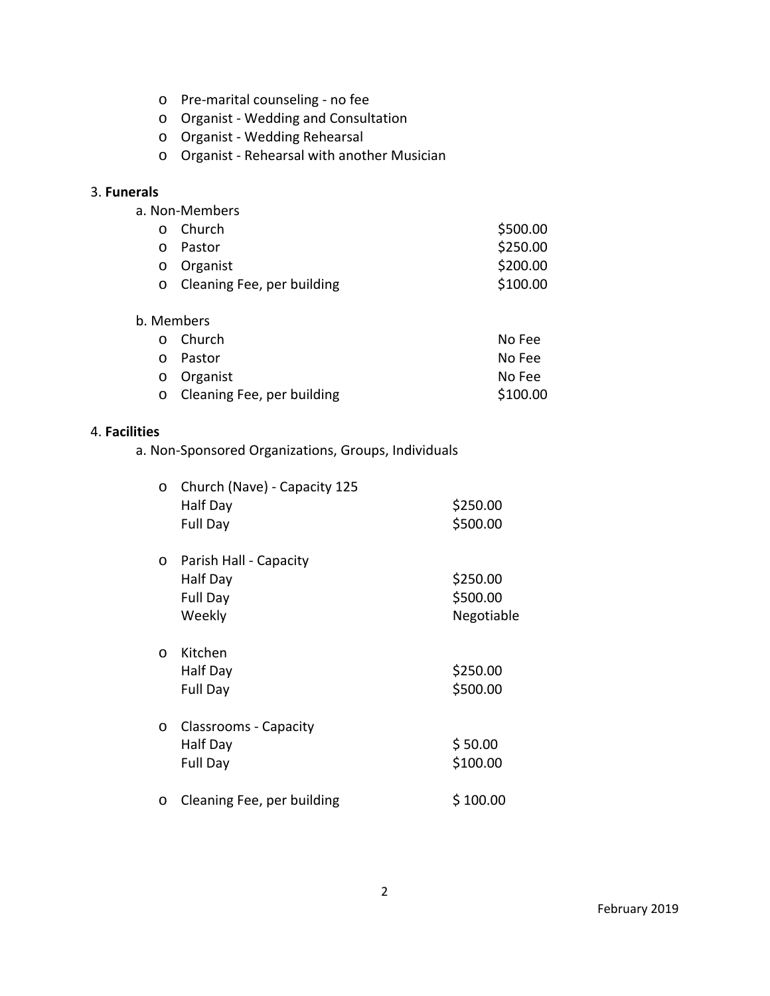- o Pre‐marital counseling ‐ no fee
- o Organist ‐ Wedding and Consultation
- o Organist ‐ Wedding Rehearsal
- o Organist ‐ Rehearsal with another Musician

# 3. **Funerals**

| a. Non-Members |  |  |  |  |
|----------------|--|--|--|--|
|----------------|--|--|--|--|

| o Church                     | \$500.00 |
|------------------------------|----------|
| o Pastor                     | \$250.00 |
| o Organist                   | \$200.00 |
| o Cleaning Fee, per building | \$100.00 |

#### b. Members

| ഠ Church                     | No Fee   |
|------------------------------|----------|
| o Pastor                     | No Fee   |
| o Organist                   | No Fee   |
| o Cleaning Fee, per building | \$100.00 |

### 4. **Facilities**

a. Non‐Sponsored Organizations, Groups, Individuals

| $\circ$  | Church (Nave) - Capacity 125<br>Half Day<br>Full Day     | \$250.00<br>\$500.00               |
|----------|----------------------------------------------------------|------------------------------------|
| $\circ$  | Parish Hall - Capacity<br>Half Day<br>Full Day<br>Weekly | \$250.00<br>\$500.00<br>Negotiable |
| $\Omega$ | Kitchen<br>Half Day<br>Full Day                          | \$250.00<br>\$500.00               |
| $\circ$  | <b>Classrooms - Capacity</b><br>Half Day<br>Full Day     | \$50.00<br>\$100.00                |
| $\circ$  | Cleaning Fee, per building                               | \$100.00                           |